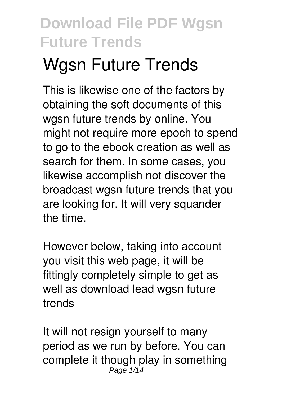# **Wgsn Future Trends**

This is likewise one of the factors by obtaining the soft documents of this **wgsn future trends** by online. You might not require more epoch to spend to go to the ebook creation as well as search for them. In some cases, you likewise accomplish not discover the broadcast wgsn future trends that you are looking for. It will very squander the time.

However below, taking into account you visit this web page, it will be fittingly completely simple to get as well as download lead wgsn future trends

It will not resign yourself to many period as we run by before. You can complete it though play in something Page  $1/14$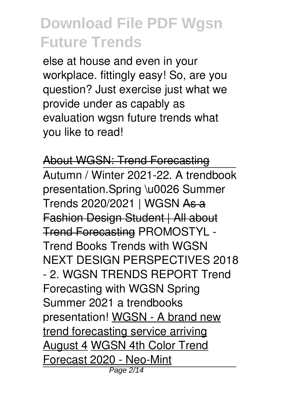else at house and even in your workplace. fittingly easy! So, are you question? Just exercise just what we provide under as capably as evaluation **wgsn future trends** what you like to read!

About WGSN: Trend Forecasting Autumn / Winter 2021-22. A trendbook presentation.**Spring \u0026 Summer Trends 2020/2021 | WGSN** As a Fashion Design Student | All about Trend Forecasting **PROMOSTYL - Trend Books** *Trends with WGSN NEXT DESIGN PERSPECTIVES 2018 - 2. WGSN TRENDS REPORT Trend Forecasting with WGSN Spring Summer 2021 a trendbooks presentation!* WGSN - A brand new trend forecasting service arriving August 4 WGSN 4th Color Trend Forecast 2020 - Neo-Mint Page 2/14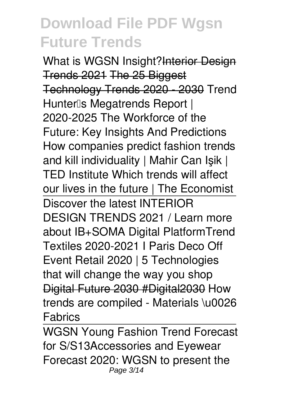What is WGSN Insight?Interior Design Trends 2021 The 25 Biggest Technology Trends 2020 - 2030 *Trend Hunter's Megatrends Report | 2020-2025* The Workforce of the Future: Key Insights And Predictions How companies predict fashion trends and kill individuality | Mahir Can Işik | TED Institute Which trends will affect our lives in the future | The Economist Discover the latest INTERIOR DESIGN TRENDS 2021 / Learn more about IB+SOMA Digital Platform**Trend Textiles 2020-2021 I Paris Deco Off Event** *Retail 2020 | 5 Technologies that will change the way you shop* Digital Future 2030 #Digital2030 How trends are compiled - Materials \u0026 Fabrics

WGSN Young Fashion Trend Forecast for S/S13*Accessories and Eyewear Forecast 2020: WGSN to present the* Page 3/14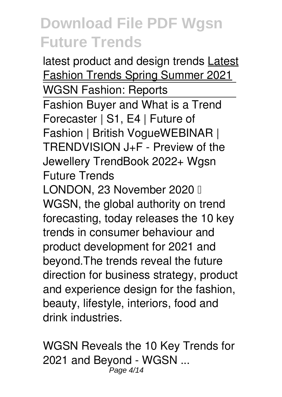*latest product and design trends* Latest Fashion Trends Spring Summer 2021 WGSN Fashion: Reports Fashion Buyer and What is a Trend Forecaster | S1, E4 | Future of Fashion | British Vogue*WEBINAR | TRENDVISION J+F - Preview of the Jewellery TrendBook 2022+* **Wgsn Future Trends** LONDON, 23 November 2020 || WGSN, the global authority on trend forecasting, today releases the 10 key trends in consumer behaviour and

product development for 2021 and beyond.The trends reveal the future direction for business strategy, product and experience design for the fashion, beauty, lifestyle, interiors, food and drink industries.

**WGSN Reveals the 10 Key Trends for 2021 and Beyond - WGSN ...** Page 4/14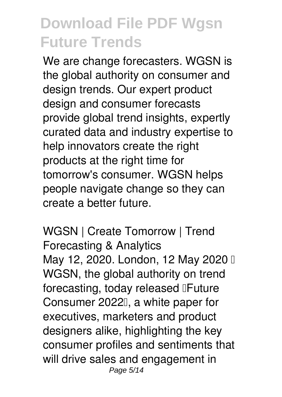We are change forecasters. WGSN is the global authority on consumer and design trends. Our expert product design and consumer forecasts provide global trend insights, expertly curated data and industry expertise to help innovators create the right products at the right time for tomorrow's consumer. WGSN helps people navigate change so they can create a better future.

**WGSN | Create Tomorrow | Trend Forecasting & Analytics** May 12, 2020. London, 12 May 2020 I WGSN, the global authority on trend forecasting, today released **IFuture** Consumer 2022', a white paper for executives, marketers and product designers alike, highlighting the key consumer profiles and sentiments that will drive sales and engagement in Page 5/14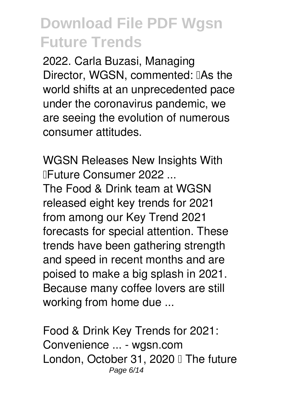2022. Carla Buzasi, Managing Director, WGSN, commented: IAs the world shifts at an unprecedented pace under the coronavirus pandemic, we are seeing the evolution of numerous consumer attitudes.

**WGSN Releases New Insights With "Future Consumer 2022 ...**

The Food & Drink team at WGSN released eight key trends for 2021 from among our Key Trend 2021 forecasts for special attention. These trends have been gathering strength and speed in recent months and are poised to make a big splash in 2021. Because many coffee lovers are still working from home due ...

**Food & Drink Key Trends for 2021: Convenience ... - wgsn.com** London, October 31, 2020 I The future Page 6/14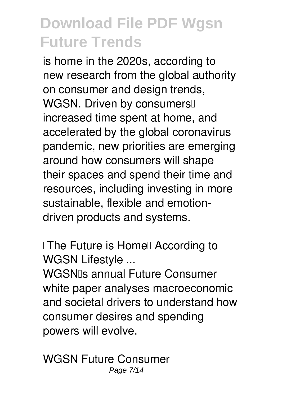is home in the 2020s, according to new research from the global authority on consumer and design trends, WGSN. Driven by consumers<sup>[]</sup> increased time spent at home, and accelerated by the global coronavirus pandemic, new priorities are emerging around how consumers will shape their spaces and spend their time and resources, including investing in more sustainable, flexible and emotiondriven products and systems.

**The Future is Homel According to WGSN Lifestyle ...**

WGSN<sub>IS</sub> annual Future Consumer white paper analyses macroeconomic and societal drivers to understand how consumer desires and spending powers will evolve.

**WGSN Future Consumer** Page 7/14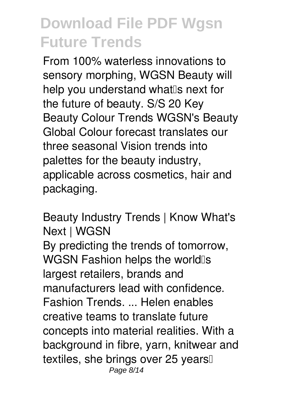From 100% waterless innovations to sensory morphing, WGSN Beauty will help you understand what<sup>®</sup> next for the future of beauty. S/S 20 Key Beauty Colour Trends WGSN's Beauty Global Colour forecast translates our three seasonal Vision trends into palettes for the beauty industry, applicable across cosmetics, hair and packaging.

**Beauty Industry Trends | Know What's Next | WGSN** By predicting the trends of tomorrow, WGSN Fashion helps the world<sup>os</sup> largest retailers, brands and manufacturers lead with confidence. Fashion Trends. ... Helen enables creative teams to translate future concepts into material realities. With a background in fibre, yarn, knitwear and textiles, she brings over 25 years Page 8/14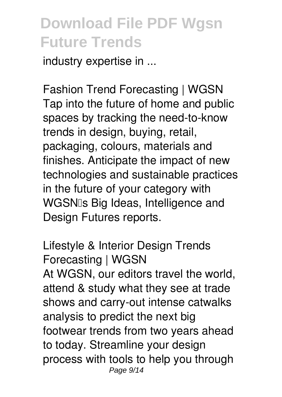industry expertise in ...

**Fashion Trend Forecasting | WGSN** Tap into the future of home and public spaces by tracking the need-to-know trends in design, buying, retail, packaging, colours, materials and finishes. Anticipate the impact of new technologies and sustainable practices in the future of your category with WGSNIs Big Ideas, Intelligence and Design Futures reports.

**Lifestyle & Interior Design Trends Forecasting | WGSN** At WGSN, our editors travel the world, attend & study what they see at trade shows and carry-out intense catwalks analysis to predict the next big footwear trends from two years ahead to today. Streamline your design process with tools to help you through Page 9/14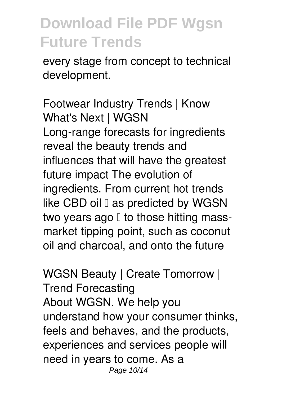every stage from concept to technical development.

**Footwear Industry Trends | Know What's Next | WGSN** Long-range forecasts for ingredients reveal the beauty trends and influences that will have the greatest future impact The evolution of ingredients. From current hot trends like CBD oil  $\mathbb I$  as predicted by WGSN two years ago  $\mathbb I$  to those hitting massmarket tipping point, such as coconut oil and charcoal, and onto the future

**WGSN Beauty | Create Tomorrow | Trend Forecasting** About WGSN. We help you understand how your consumer thinks, feels and behaves, and the products, experiences and services people will need in years to come. As a Page 10/14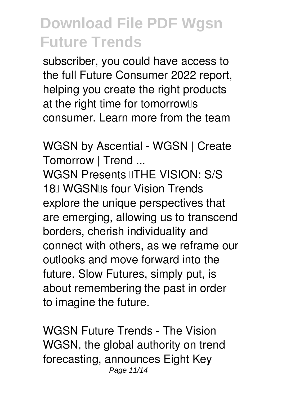subscriber, you could have access to the full Future Consumer 2022 report, helping you create the right products at the right time for tomorrow<sup>[]</sup>s consumer. Learn more from the team

**WGSN by Ascential - WGSN | Create Tomorrow | Trend ...**

WGSN Presents **ITHE VISION: S/S** 18 NGSN<sub>IS</sub> four Vision Trends explore the unique perspectives that are emerging, allowing us to transcend borders, cherish individuality and connect with others, as we reframe our outlooks and move forward into the future. Slow Futures, simply put, is about remembering the past in order to imagine the future.

**WGSN Future Trends - The Vision** WGSN, the global authority on trend forecasting, announces Eight Key Page 11/14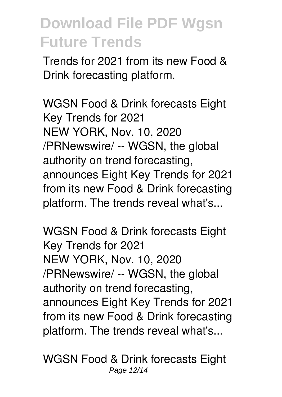Trends for 2021 from its new Food & Drink forecasting platform.

**WGSN Food & Drink forecasts Eight Key Trends for 2021** NEW YORK, Nov. 10, 2020 /PRNewswire/ -- WGSN, the global authority on trend forecasting, announces Eight Key Trends for 2021 from its new Food & Drink forecasting platform. The trends reveal what's...

**WGSN Food & Drink forecasts Eight Key Trends for 2021** NEW YORK, Nov. 10, 2020 /PRNewswire/ -- WGSN, the global authority on trend forecasting, announces Eight Key Trends for 2021 from its new Food & Drink forecasting platform. The trends reveal what's...

**WGSN Food & Drink forecasts Eight** Page 12/14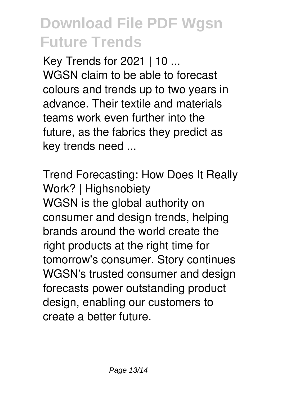**Key Trends for 2021 | 10 ...** WGSN claim to be able to forecast colours and trends up to two years in advance. Their textile and materials teams work even further into the future, as the fabrics they predict as key trends need ...

**Trend Forecasting: How Does It Really Work? | Highsnobiety** WGSN is the global authority on consumer and design trends, helping brands around the world create the right products at the right time for tomorrow's consumer. Story continues WGSN's trusted consumer and design forecasts power outstanding product design, enabling our customers to create a better future.